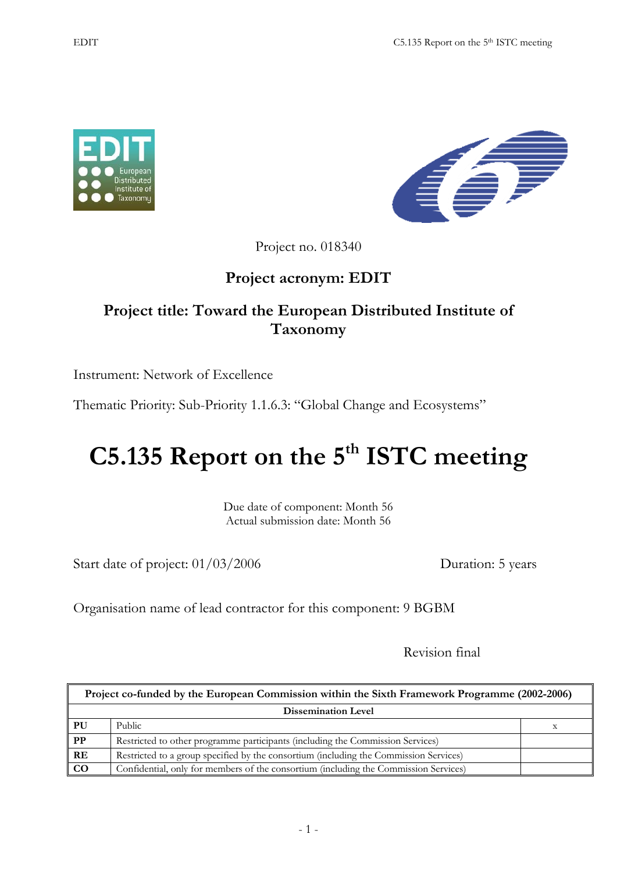



Project no. 018340

## **Project acronym: EDIT**

## **Project title: Toward the European Distributed Institute of Taxonomy**

Instrument: Network of Excellence

Thematic Priority: Sub-Priority 1.1.6.3: "Global Change and Ecosystems"

# **C5.135 Report on the 5<sup>th</sup> ISTC meeting**

Due date of component: Month 56 Actual submission date: Month 56

Start date of project:  $01/03/2006$  Duration: 5 years

Organisation name of lead contractor for this component: 9 BGBM

Revision final

| Project co-funded by the European Commission within the Sixth Framework Programme (2002-2006) |                                                                                       |  |
|-----------------------------------------------------------------------------------------------|---------------------------------------------------------------------------------------|--|
| <b>Dissemination Level</b>                                                                    |                                                                                       |  |
| PU                                                                                            | Public                                                                                |  |
| PP                                                                                            | Restricted to other programme participants (including the Commission Services)        |  |
| RE                                                                                            | Restricted to a group specified by the consortium (including the Commission Services) |  |
| $\bf{CO}$                                                                                     | Confidential, only for members of the consortium (including the Commission Services)  |  |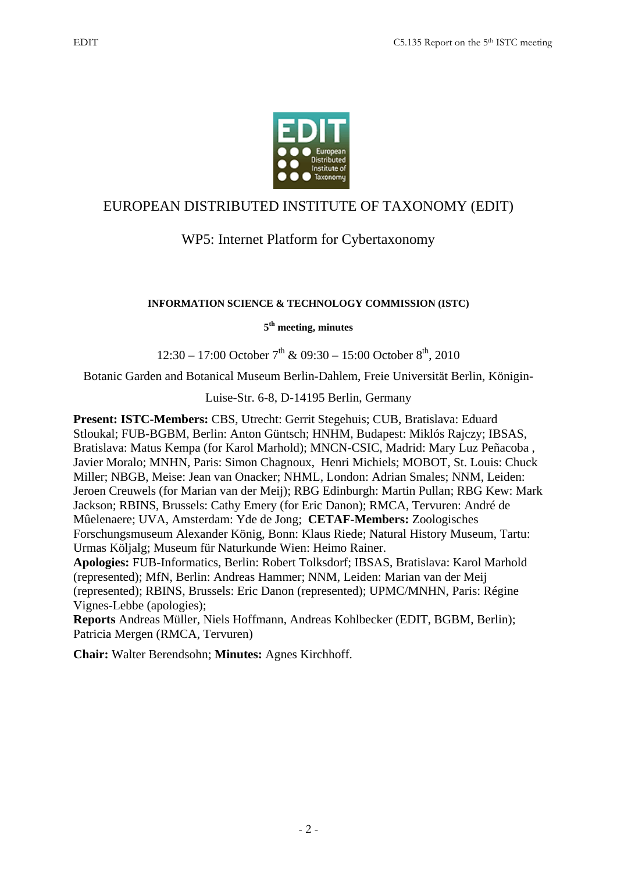

#### EUROPEAN DISTRIBUTED INSTITUTE OF TAXONOMY (EDIT)

### WP5: Internet Platform for Cybertaxonomy

#### **INFORMATION SCIENCE & TECHNOLOGY COMMISSION (ISTC)**

#### **5th meeting, minutes**

 $12:30 - 17:00$  October  $7<sup>th</sup>$  & 09:30 – 15:00 October  $8<sup>th</sup>$ , 2010

Botanic Garden and Botanical Museum Berlin-Dahlem, Freie Universität Berlin, Königin-

Luise-Str. 6-8, D-14195 Berlin, Germany

**Present: ISTC-Members:** CBS, Utrecht: Gerrit Stegehuis; CUB, Bratislava: Eduard Stloukal; FUB-BGBM, Berlin: Anton Güntsch; HNHM, Budapest: Miklós Rajczy; IBSAS, Bratislava: Matus Kempa (for Karol Marhold); MNCN-CSIC, Madrid: Mary Luz Peñacoba , Javier Moralo; MNHN, Paris: Simon Chagnoux, Henri Michiels; MOBOT, St. Louis: Chuck Miller; NBGB, Meise: Jean van Onacker; NHML, London: Adrian Smales; NNM, Leiden: Jeroen Creuwels (for Marian van der Meij); RBG Edinburgh: Martin Pullan; RBG Kew: Mark Jackson; RBINS, Brussels: Cathy Emery (for Eric Danon); RMCA, Tervuren: André de Mûelenaere; UVA, Amsterdam: Yde de Jong; **CETAF-Members:** Zoologisches Forschungsmuseum Alexander König, Bonn: Klaus Riede; Natural History Museum, Tartu: Urmas Köljalg; Museum für Naturkunde Wien: Heimo Rainer.

**Apologies:** FUB-Informatics, Berlin: Robert Tolksdorf; IBSAS, Bratislava: Karol Marhold (represented); MfN, Berlin: Andreas Hammer; NNM, Leiden: Marian van der Meij (represented); RBINS, Brussels: Eric Danon (represented); UPMC/MNHN, Paris: Régine Vignes-Lebbe (apologies);

**Reports** Andreas Müller, Niels Hoffmann, Andreas Kohlbecker (EDIT, BGBM, Berlin); Patricia Mergen (RMCA, Tervuren)

**Chair:** Walter Berendsohn; **Minutes:** Agnes Kirchhoff.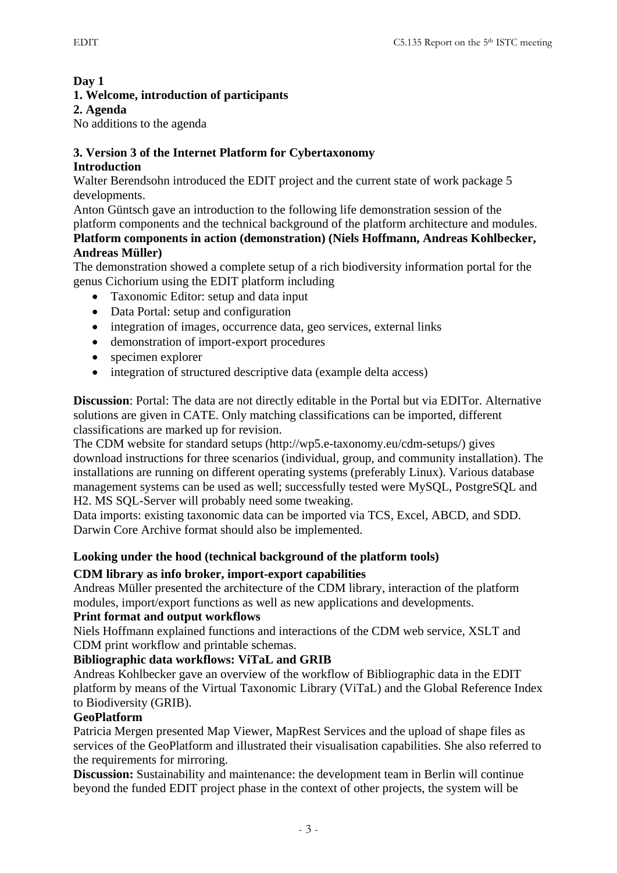#### **Day 1**

#### **1. Welcome, introduction of participants**

#### **2. Agenda**

No additions to the agenda

## **3. Version 3 of the Internet Platform for Cybertaxonomy**

#### **Introduction**

Walter Berendsohn introduced the EDIT project and the current state of work package 5 developments.

Anton Güntsch gave an introduction to the following life demonstration session of the platform components and the technical background of the platform architecture and modules.

#### **Platform components in action (demonstration) (Niels Hoffmann, Andreas Kohlbecker, Andreas Müller)**

The demonstration showed a complete setup of a rich biodiversity information portal for the genus Cichorium using the EDIT platform including

- Taxonomic Editor: setup and data input
- Data Portal: setup and configuration
- integration of images, occurrence data, geo services, external links
- demonstration of import-export procedures
- specimen explorer
- integration of structured descriptive data (example delta access)

**Discussion**: Portal: The data are not directly editable in the Portal but via EDITor. Alternative solutions are given in CATE. Only matching classifications can be imported, different classifications are marked up for revision.

The CDM website for standard setups (http://wp5.e-taxonomy.eu/cdm-setups/) gives download instructions for three scenarios (individual, group, and community installation). The installations are running on different operating systems (preferably Linux). Various database management systems can be used as well; successfully tested were MySQL, PostgreSQL and H2. MS SQL-Server will probably need some tweaking.

Data imports: existing taxonomic data can be imported via TCS, Excel, ABCD, and SDD. Darwin Core Archive format should also be implemented.

#### **Looking under the hood (technical background of the platform tools)**

#### **CDM library as info broker, import-export capabilities**

Andreas Müller presented the architecture of the CDM library, interaction of the platform modules, import/export functions as well as new applications and developments.

#### **Print format and output workflows**

Niels Hoffmann explained functions and interactions of the CDM web service, XSLT and CDM print workflow and printable schemas.

#### **Bibliographic data workflows: ViTaL and GRIB**

Andreas Kohlbecker gave an overview of the workflow of Bibliographic data in the EDIT platform by means of the Virtual Taxonomic Library (ViTaL) and the Global Reference Index to Biodiversity (GRIB).

#### **GeoPlatform**

Patricia Mergen presented Map Viewer, MapRest Services and the upload of shape files as services of the GeoPlatform and illustrated their visualisation capabilities. She also referred to the requirements for mirroring.

**Discussion:** Sustainability and maintenance: the development team in Berlin will continue beyond the funded EDIT project phase in the context of other projects, the system will be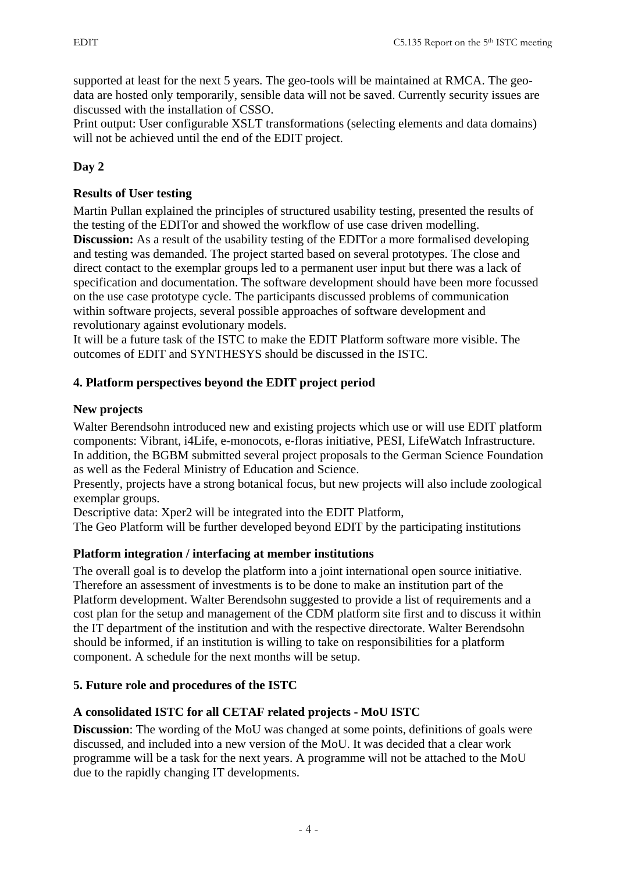supported at least for the next 5 years. The geo-tools will be maintained at RMCA. The geodata are hosted only temporarily, sensible data will not be saved. Currently security issues are discussed with the installation of CSSO.

Print output: User configurable XSLT transformations (selecting elements and data domains) will not be achieved until the end of the EDIT project.

#### **Day 2**

#### **Results of User testing**

Martin Pullan explained the principles of structured usability testing, presented the results of the testing of the EDITor and showed the workflow of use case driven modelling. **Discussion:** As a result of the usability testing of the EDITor a more formalised developing and testing was demanded. The project started based on several prototypes. The close and direct contact to the exemplar groups led to a permanent user input but there was a lack of specification and documentation. The software development should have been more focussed on the use case prototype cycle. The participants discussed problems of communication within software projects, several possible approaches of software development and revolutionary against evolutionary models.

It will be a future task of the ISTC to make the EDIT Platform software more visible. The outcomes of EDIT and SYNTHESYS should be discussed in the ISTC.

#### **4. Platform perspectives beyond the EDIT project period**

#### **New projects**

Walter Berendsohn introduced new and existing projects which use or will use EDIT platform components: Vibrant, i4Life, e-monocots, e-floras initiative, PESI, LifeWatch Infrastructure. In addition, the BGBM submitted several project proposals to the German Science Foundation as well as the Federal Ministry of Education and Science.

Presently, projects have a strong botanical focus, but new projects will also include zoological exemplar groups.

Descriptive data: Xper2 will be integrated into the EDIT Platform,

The Geo Platform will be further developed beyond EDIT by the participating institutions

#### **Platform integration / interfacing at member institutions**

The overall goal is to develop the platform into a joint international open source initiative. Therefore an assessment of investments is to be done to make an institution part of the Platform development. Walter Berendsohn suggested to provide a list of requirements and a cost plan for the setup and management of the CDM platform site first and to discuss it within the IT department of the institution and with the respective directorate. Walter Berendsohn should be informed, if an institution is willing to take on responsibilities for a platform component. A schedule for the next months will be setup.

#### **5. Future role and procedures of the ISTC**

#### **A consolidated ISTC for all CETAF related projects - MoU ISTC**

**Discussion**: The wording of the MoU was changed at some points, definitions of goals were discussed, and included into a new version of the MoU. It was decided that a clear work programme will be a task for the next years. A programme will not be attached to the MoU due to the rapidly changing IT developments.